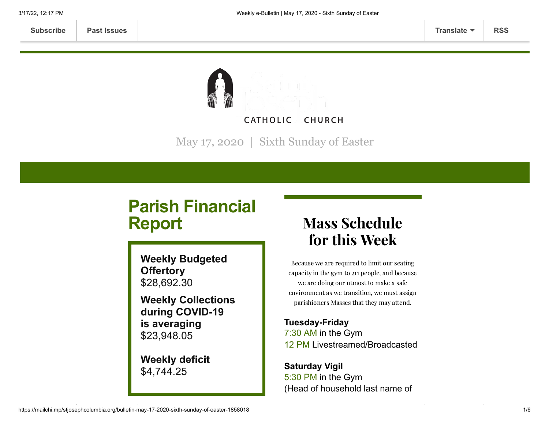**[Subscribe](http://eepurl.com/ded6Lz) [Past Issues](https://us9.campaign-archive.com/home/?u=7399f6b35c8ab775fb1714c3d&id=770b4a80d3) [Translate](javascript:;) [RSS](https://us9.campaign-archive.com/feed?u=7399f6b35c8ab775fb1714c3d&id=770b4a80d3)**



May 17, 2020 | Sixth Sunday of Easter

# **Parish Financial Report**

**Weekly Budgeted Offertory** \$28,692.30

**Weekly Collections during COVID-19 is averaging** \$23,948.05

**Weekly deficit** \$4,744.25

## Mass Schedule for this Week

Because we are required to limit our seating capacity in the gym to 211 people, and because we are doing our utmost to make a safe environment as we transition, we must assign parishioners Masses that they may attend.

**Tuesday-Friday** 7:30 AM in the Gym 12 PM Livestreamed/Broadcasted

**Saturday Vigil** 5:30 PM in the Gym (Head of household last name of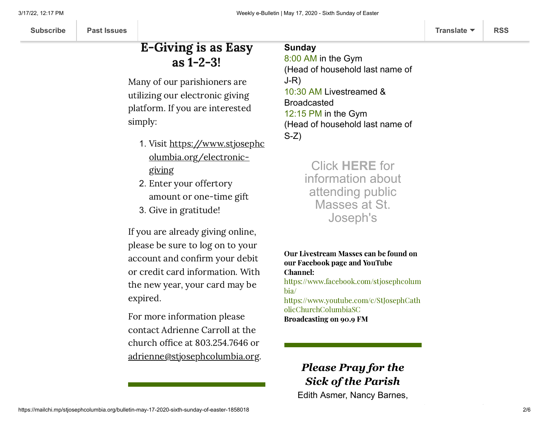## E-Giving is as Easy as 1-2-3!

Many of our parishioners are utilizing our electronic giving platform. If you are interested simply:

- 1. Visit https://www.stjosephc [olumbia.org/electronic](https://www.stjosephcolumbia.org/electronic-giving)giving
- 2. Enter your offertory amount or one-time gift
- 3. Give in gratitude!

If you are already giving online, please be sure to log on to your account and confirm your debit or credit card information. With the new year, your card may be expired.

For more information please contact Adrienne Carroll at the church office at 803.254.7646 or [adrienne@stjosephcolumbia.org](mailto:adrienne@stjosephcolumbia.org).

### **Sunday**

8:00 AM in the Gym (Head of household last name of J-R) 10:30 AM Livestreamed & Broadcasted 12:15 PM in the Gym (Head of household last name of S-Z)

> Click **[HERE](https://www.stjosephcolumbia.org/resuming-public-masses)** for information about attending public Masses at St. Joseph's

Our Livestream Masses can be found on our Facebook page and YouTube Channel:

[https://www.facebook.com/stjosephcolum](https://www.facebook.com/stjosephcolumbia/) bia/

[https://www.youtube.com/c/StJosephCath](https://www.youtube.com/c/StJosephCatholicChurchColumbiaSC) olicChurchColumbiaSC Broadcasting on 90.9 FM

### *Please Pray for the Sick of the Parish* Edith Asmer, Nancy Barnes,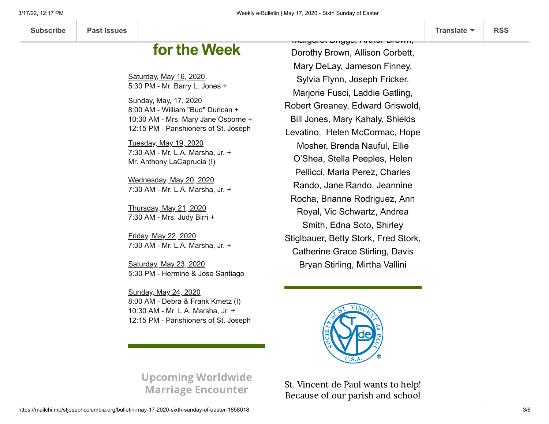## **for the Week**

**Mass Intentions**

Saturday, May 16, 2020 5:30 PM - Mr. Barry L. Jones +

Sunday, May, 17, 2020 8:00 AM - William "Bud" Duncan + 10:30 AM - Mrs. Mary Jane Osborne + 12:15 PM - Parishioners of St. Joseph

Tuesday, May 19, 2020 7:30 AM - Mr. L.A. Marsha, Jr. + Mr. Anthony LaCaprucia (I)

Wednesday, May 20, 2020 7:30 AM - Mr. L.A. Marsha, Jr. +

Thursday, May 21, 2020 7:30 AM - Mrs. Judy Birri +

Friday, May 22, 2020 7:30 AM - Mr. L.A. Marsha, Jr. +

Saturday, May 23, 2020 5:30 PM - Hermine & Jose Santiago

Sunday, May 24, 2020 8:00 AM - Debra & Frank Kmetz (I) 10:30 AM - Mr. L.A. Marsha, Jr. + 12:15 PM - Parishioners of St. Joseph

Dorothy Brown, Allison Corbett, Mary DeLay, Jameson Finney, Sylvia Flynn, Joseph Fricker, Marjorie Fusci, Laddie Gatling, Robert Greaney, Edward Griswold, Bill Jones, Mary Kahaly, Shields Levatino, Helen McCormac, Hope Mosher, Brenda Nauful, Ellie O'Shea, Stella Peeples, Helen Pellicci, Maria Perez, Charles Rando, Jane Rando, Jeannine Rocha, Brianne Rodriguez, Ann Royal, Vic Schwartz, Andrea Smith, Edna Soto, Shirley Stiglbauer, Betty Stork, Fred Stork, Catherine Grace Stirling, Davis Bryan Stirling, Mirtha Vallini

Margaret Briggs, Arthur Brown,



Upcoming Worldwide Marriage Encounter

St. Vincent de Paul wants to help! Because of our parish and school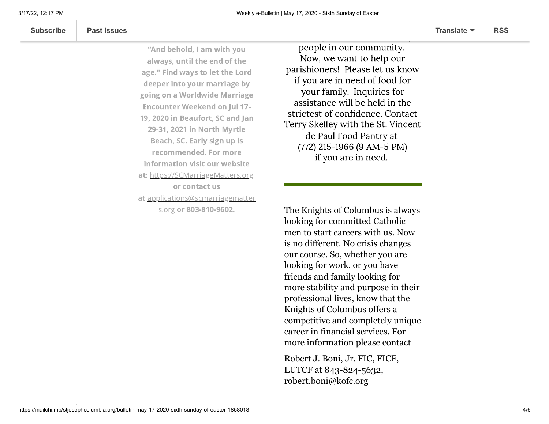| <b>Subscribe</b> | <b>Past Issues</b> |  | Translate ▼ | <b>RSS</b> |
|------------------|--------------------|--|-------------|------------|
|------------------|--------------------|--|-------------|------------|

"And behold, I am with you always, until the end of the age." Find ways to let the Lord deeper into your marriage by going on a Worldwide Marriage Encounter Weekend on Jul 17- 19, 2020 in Beaufort, SC and Jan 29-31, 2021 in North Myrtle Beach, SC. Early sign up is recommended. For more information visit our website at: [https://SCMarriageMatters.org](https://linkprotect.cudasvc.com/url?a=https%3a%2f%2fSCMarriageMatters.org&c=E,1,uFMJWuxhDHCKNtlT_Fug55cKqGSl36BtEj0xOsT6HdBL94SB6wiIXcTYJg740MPsClJB56MWfMgWoFoqy1ttkIj8t9jiUFEX646JFj0L&typo=1) or contact us at [applications@scmarriagematter](mailto:applications@scmarriagematters.org) s.org or 803-810-9602.

people in our community. Now, we want to help our parishioners! Please let us know if you are in need of food for your family. Inquiries for assistance will be held in the strictest of confidence. Contact Terry Skelley with the St. Vincent de Paul Food Pantry at (772) 215-1966 (9 AM-5 PM) if you are in need.

able to provide food for many

The Knights of Columbus is always looking for committed Catholic men to start careers with us. Now is no different. No crisis changes our course. So, whether you are looking for work, or you have friends and family looking for more stability and purpose in their professional lives, know that the Knights of Columbus offers a competitive and completely unique career in financial services. For more information please contact

Robert J. Boni, Jr. FIC, FICF, LUTCF at 843-824-5632, robert.boni@kofc.org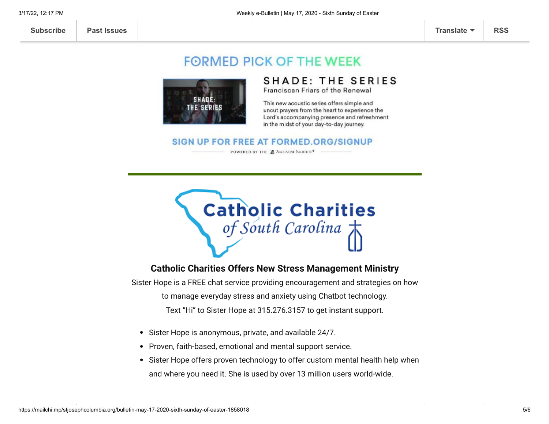### **FORMED PICK OF THE WEEK**



### **SHADE: THE SERIES**

Franciscan Friars of the Renewal

This new acoustic series offers simple and uncut prayers from the heart to experience the Lord's accompanying presence and refreshment in the midst of your day-to-day journey.

#### SIGN UP FOR FREE AT FORMED.ORG/SIGNUP

POWERED BY THE & AUGUSTINE INSTITUTE<sup>®</sup>



#### **Catholic Charities Offers New Stress Management Ministry**

Sister Hope is a FREE chat service providing encouragement and strategies on how to manage everyday stress and anxiety using Chatbot technology. Text "Hi" to Sister Hope at 315.276.3157 to get instant support.

- Sister Hope is anonymous, private, and available 24/7.
- Proven, faith-based, emotional and mental support service.
- Sister Hope offers proven technology to offer custom mental health help when and where you need it. She is used by over 13 million users world-wide.